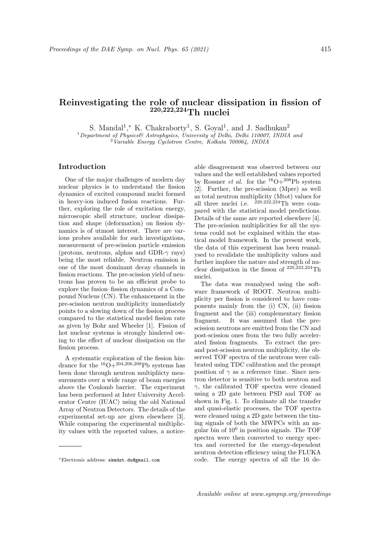## Reinvestigating the role of nuclear dissipation in fission of 220,222,224Th nuclei

S. Mandal<sup>1</sup>,\* K. Chakraborty<sup>1</sup>, S. Goyal<sup>1</sup>, and J. Sadhukan<sup>2</sup>

 $1$ Department of Physics& Astrophysics, University of Delhi, Delhi 110007, INDIA and

 $2$ Variable Energy Cyclotron Centre, Kolkata 700064, INDIA

## Introduction

One of the major challenges of modern day nuclear physics is to understand the fission dynamics of excited compound nuclei formed in heavy-ion induced fusion reactions. Further, exploring the role of excitation energy, microscopic shell structure, nuclear dissipation and shape (deformation) on fission dynamics is of utmost interest. There are various probes available for such investigations, measurement of pre-scission particle emission (protons, neutrons, alphas and GDR- $\gamma$  rays) being the most reliable. Neutron emission is one of the most dominant decay channels in fission reactions. The pre-scission yield of neutrons has proven to be an efficient probe to explore the fusion–fission dynamics of a Compound Nucleus (CN). The enhancement in the pre-scission neutron multiplicity immediately points to a slowing down of the fission process compared to the statistical model fission rate as given by Bohr and Wheeler [1]. Fission of hot nuclear systems is strongly hindered owing to the effect of nuclear dissipation on the fission process.

A systematic exploration of the fission hindrance for the  ${}^{16}O+{}^{204,206,208}Pb$  systems has been done through neutron multipliicty measurements over a wide range of beam energies above the Coulomb barrier. The experiment has been performed at Inter University Accelerator Centre (IUAC) using the old National Array of Neutron Detectors. The details of the experimental set-up are given elsewhere [3]. While comparing the experimental multiplicity values with the reported values, a noticeable disagreement was observed between our values and the well established values reported by Rossner *et al.* for the  $^{16}O+^{208}Pb$  system [2]. Further, the pre-scission (Mpre) as well as total neutron multiplicity (Mtot) values for all three nuclei i.e.  $220,222,224$ Th were compared with the statistical model predictions. Details of the same are reported elsewhere [4]. The pre-scission multiplicities for all the systems could not be explained within the stastical model framework. In the present work, the data of this experiment has been reanalysed to revalidate the multiplicity values and further implore the nature and strength of nuclear dissipation in the fisson of  $^{220,\widetilde{2}22,224}\mathrm{Th}$ nuclei.

The data was reanalysed using the software framework of ROOT. Neutron multiplicity per fission is considered to have components mainly from the (i) CN, (ii) fission fragment and the (iii) complementary fission fragment. It was assumed that the prescission neutrons are emitted from the CN and post-scission ones from the two fully accelerated fission fragments. To extract the preand post-scission neutron multiplicity, the observed TOF spectra of the neutrons were calibrated using TDC calibration and the prompt position of  $\gamma$  as a reference time. Since neutron detector is sensitive to both neutron and  $\gamma$ , the calibrated TOF spectra were cleaned using a 2D gate between PSD and TOF as shown in Fig. 1. To eliminate all the transfer and quasi-elastic processes, the TOF spectra were cleaned using a 2D gate between the timing signals of both the MWPCs with an angular bin of  $10<sup>0</sup>$  in position signals. The TOF spectra were then converted to energy spectra and corrected for the energy-dependent neutron detection efficiency using the FLUKA code. The energy spectra of all the 16 de-

<sup>∗</sup>Electronic address: skmdst.du@gmail.com